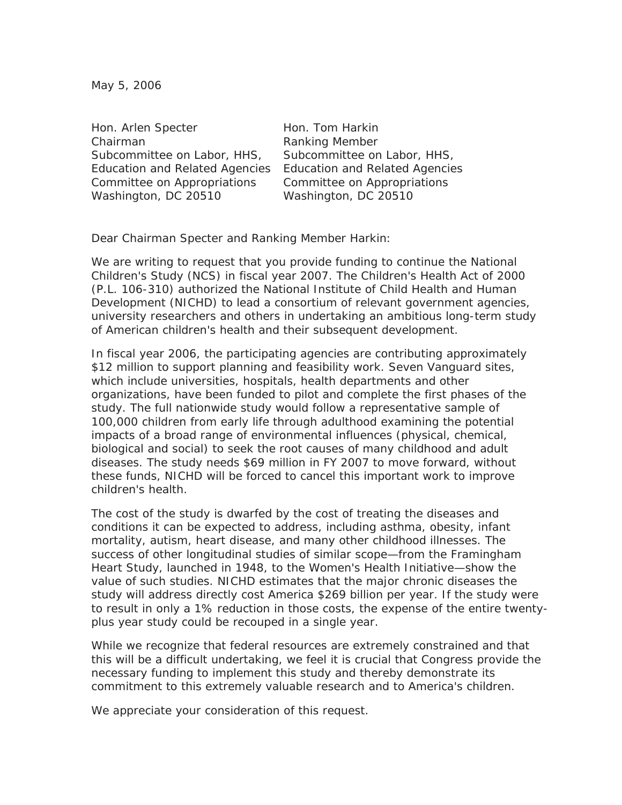May 5, 2006

Hon. Arlen Specter Chairman Subcommittee on Labor, HHS, Education and Related Agencies Committee on Appropriations Washington, DC 20510

Hon. Tom Harkin Ranking Member Subcommittee on Labor, HHS, Education and Related Agencies Committee on Appropriations Washington, DC 20510

Dear Chairman Specter and Ranking Member Harkin:

We are writing to request that you provide funding to continue the National Children's Study (NCS) in fiscal year 2007. The Children's Health Act of 2000 (P.L. 106-310) authorized the National Institute of Child Health and Human Development (NICHD) to lead a consortium of relevant government agencies, university researchers and others in undertaking an ambitious long-term study of American children's health and their subsequent development.

In fiscal year 2006, the participating agencies are contributing approximately \$12 million to support planning and feasibility work. Seven Vanguard sites, which include universities, hospitals, health departments and other organizations, have been funded to pilot and complete the first phases of the study. The full nationwide study would follow a representative sample of 100,000 children from early life through adulthood examining the potential impacts of a broad range of environmental influences (physical, chemical, biological and social) to seek the root causes of many childhood and adult diseases. The study needs \$69 million in FY 2007 to move forward, without these funds, NICHD will be forced to cancel this important work to improve children's health.

The cost of the study is dwarfed by the cost of treating the diseases and conditions it can be expected to address, including asthma, obesity, infant mortality, autism, heart disease, and many other childhood illnesses. The success of other longitudinal studies of similar scope—from the Framingham Heart Study, launched in 1948, to the Women's Health Initiative—show the value of such studies. NICHD estimates that the major chronic diseases the study will address directly cost America \$269 billion per year. If the study were to result in only a 1% reduction in those costs, the expense of the entire twentyplus year study could be recouped in a single year.

While we recognize that federal resources are extremely constrained and that this will be a difficult undertaking, we feel it is crucial that Congress provide the necessary funding to implement this study and thereby demonstrate its commitment to this extremely valuable research and to America's children.

We appreciate your consideration of this request.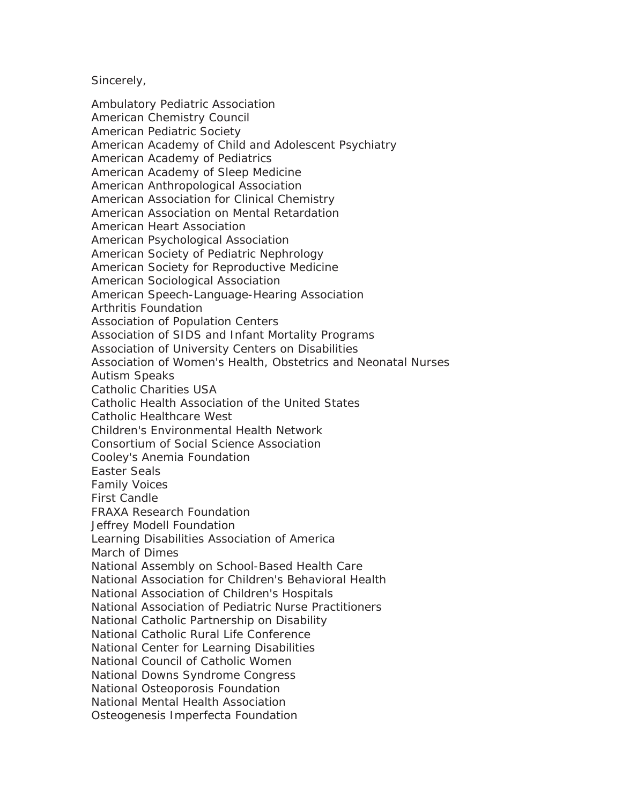Sincerely,

Ambulatory Pediatric Association American Chemistry Council American Pediatric Society American Academy of Child and Adolescent Psychiatry American Academy of Pediatrics American Academy of Sleep Medicine American Anthropological Association American Association for Clinical Chemistry American Association on Mental Retardation American Heart Association American Psychological Association American Society of Pediatric Nephrology American Society for Reproductive Medicine American Sociological Association American Speech-Language-Hearing Association Arthritis Foundation Association of Population Centers Association of SIDS and Infant Mortality Programs Association of University Centers on Disabilities Association of Women's Health, Obstetrics and Neonatal Nurses Autism Speaks Catholic Charities USA Catholic Health Association of the United States Catholic Healthcare West Children's Environmental Health Network Consortium of Social Science Association Cooley's Anemia Foundation Easter Seals Family Voices First Candle FRAXA Research Foundation Jeffrey Modell Foundation Learning Disabilities Association of America March of Dimes National Assembly on School-Based Health Care National Association for Children's Behavioral Health National Association of Children's Hospitals National Association of Pediatric Nurse Practitioners National Catholic Partnership on Disability National Catholic Rural Life Conference National Center for Learning Disabilities National Council of Catholic Women National Downs Syndrome Congress National Osteoporosis Foundation National Mental Health Association Osteogenesis Imperfecta Foundation